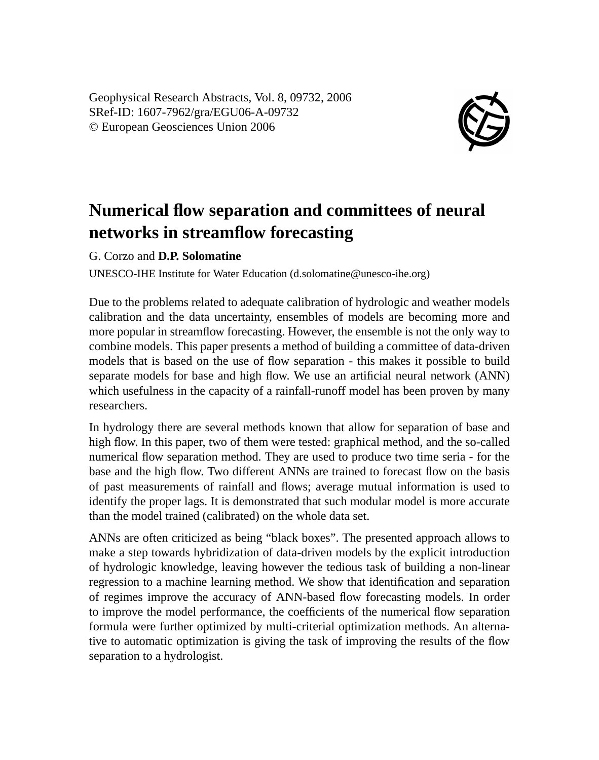Geophysical Research Abstracts, Vol. 8, 09732, 2006 SRef-ID: 1607-7962/gra/EGU06-A-09732 © European Geosciences Union 2006



## **Numerical flow separation and committees of neural networks in streamflow forecasting**

G. Corzo and **D.P. Solomatine**

UNESCO-IHE Institute for Water Education (d.solomatine@unesco-ihe.org)

Due to the problems related to adequate calibration of hydrologic and weather models calibration and the data uncertainty, ensembles of models are becoming more and more popular in streamflow forecasting. However, the ensemble is not the only way to combine models. This paper presents a method of building a committee of data-driven models that is based on the use of flow separation - this makes it possible to build separate models for base and high flow. We use an artificial neural network (ANN) which usefulness in the capacity of a rainfall-runoff model has been proven by many researchers.

In hydrology there are several methods known that allow for separation of base and high flow. In this paper, two of them were tested: graphical method, and the so-called numerical flow separation method. They are used to produce two time seria - for the base and the high flow. Two different ANNs are trained to forecast flow on the basis of past measurements of rainfall and flows; average mutual information is used to identify the proper lags. It is demonstrated that such modular model is more accurate than the model trained (calibrated) on the whole data set.

ANNs are often criticized as being "black boxes". The presented approach allows to make a step towards hybridization of data-driven models by the explicit introduction of hydrologic knowledge, leaving however the tedious task of building a non-linear regression to a machine learning method. We show that identification and separation of regimes improve the accuracy of ANN-based flow forecasting models. In order to improve the model performance, the coefficients of the numerical flow separation formula were further optimized by multi-criterial optimization methods. An alternative to automatic optimization is giving the task of improving the results of the flow separation to a hydrologist.